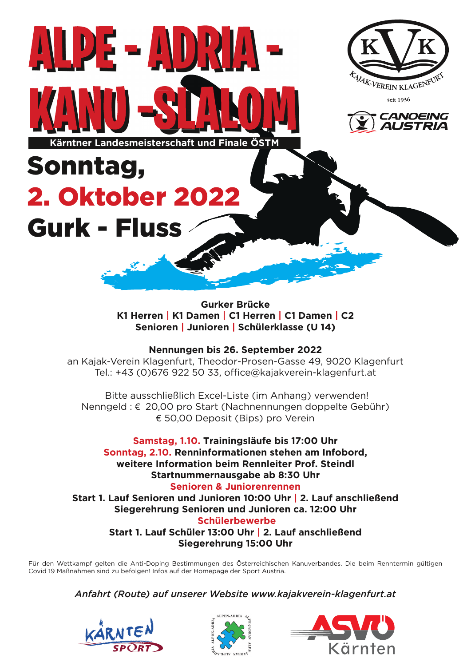

**Gurker Brücke K1 Herren | K1 Damen | C1 Herren | C1 Damen | C2 Senioren | Junioren | Schülerklasse (U 14)** 

## **Nennungen bis 26. September 2022**

an Kajak-Verein Klagenfurt, Theodor-Prosen-Gasse 49, 9020 Klagenfurt Tel.: +43 (0)676 922 50 33, office@kajakverein-klagenfurt.at

 Bitte ausschließlich Excel-Liste (im Anhang) verwenden! Nenngeld : € 20,00 pro Start (Nachnennungen doppelte Gebühr) € 50,00 Deposit (Bips) pro Verein

**Samstag, 1.10. Trainingsläufe bis 17:00 Uhr Sonntag, 2.10. Renninformationen stehen am Infobord, weitere Information beim Rennleiter Prof. Steindl Startnummernausgabe ab 8:30 Uhr Senioren & Juniorenrennen Start 1. Lauf Senioren und Junioren 10:00 Uhr | 2. Lauf anschließend Siegerehrung Senioren und Junioren ca. 12:00 Uhr Schülerbewerbe Start 1. Lauf Schüler 13:00 Uhr | 2. Lauf anschließend Siegerehrung 15:00 Uhr** 

Für den Wettkampf gelten die Anti-Doping Bestimmungen des Österreichischen Kanuverbandes. Die beim Renntermin gültigen Covid 19 Maßnahmen sind zu befolgen! Infos auf der Homepage der Sport Austria.

*Anfahrt (Route) auf unserer Website www.kajakverein-klagenfurt.at*